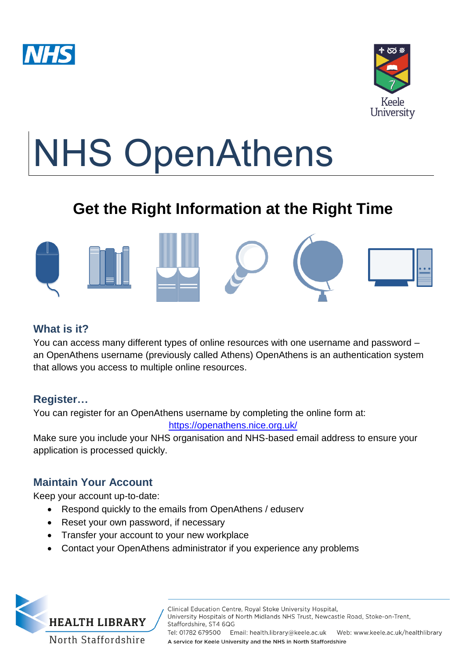



# NHS OpenAthens

# **Get the Right Information at the Right Time**



# **What is it?**

You can access many different types of online resources with one username and password – an OpenAthens username (previously called Athens) OpenAthens is an authentication system that allows you access to multiple online resources.

# **Register…**

You can register for an OpenAthens username by completing the online form at:

#### <https://openathens.nice.org.uk/>

Make sure you include your NHS organisation and NHS-based email address to ensure your application is processed quickly.

# **Maintain Your Account**

Keep your account up-to-date:

**HEALTH LIBRARY** 

North Staffordshire

- Respond quickly to the emails from OpenAthens / eduserv
- Reset your own password, if necessary
- Transfer your account to your new workplace
- Contact your OpenAthens administrator if you experience any problems